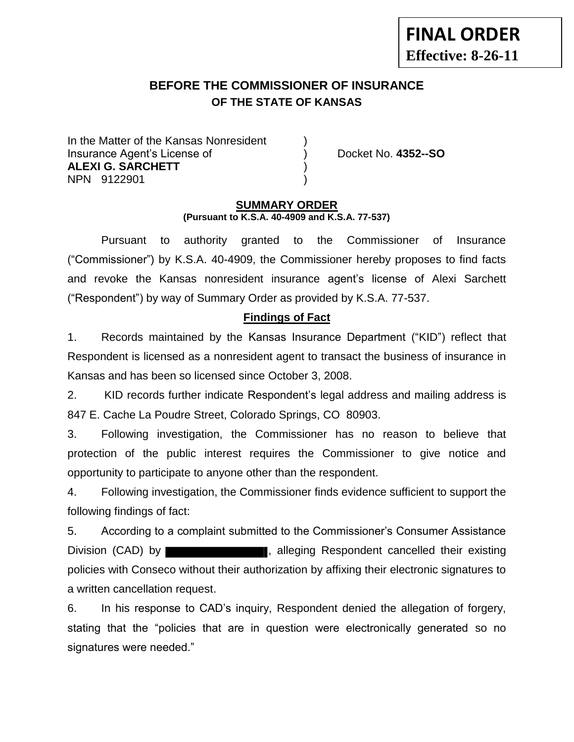# **BEFORE THE COMMISSIONER OF INSURANCE OF THE STATE OF KANSAS**

In the Matter of the Kansas Nonresident Insurance Agent's License of ) Docket No. **4352--SO ALEXI G. SARCHETT** ) NPN 9122901 )

### **SUMMARY ORDER (Pursuant to K.S.A. 40-4909 and K.S.A. 77-537)**

 Pursuant to authority granted to the Commissioner of Insurance ("Commissioner") by K.S.A. 40-4909, the Commissioner hereby proposes to find facts and revoke the Kansas nonresident insurance agent's license of Alexi Sarchett ("Respondent") by way of Summary Order as provided by K.S.A. 77-537.

## **Findings of Fact**

1. Records maintained by the Kansas Insurance Department ("KID") reflect that Respondent is licensed as a nonresident agent to transact the business of insurance in Kansas and has been so licensed since October 3, 2008.

2. KID records further indicate Respondent's legal address and mailing address is 847 E. Cache La Poudre Street, Colorado Springs, CO 80903.

3. Following investigation, the Commissioner has no reason to believe that protection of the public interest requires the Commissioner to give notice and opportunity to participate to anyone other than the respondent.

4. Following investigation, the Commissioner finds evidence sufficient to support the following findings of fact:

5. According to a complaint submitted to the Commissioner's Consumer Assistance Division (CAD) by **the substitute of the set of the set of the set of the set of the set of the set of the set of the set of the set of the set of the set of the set of the set of the set of the set of the set of the set o** policies with Conseco without their authorization by affixing their electronic signatures to a written cancellation request.

6. In his response to CAD's inquiry, Respondent denied the allegation of forgery, stating that the "policies that are in question were electronically generated so no signatures were needed."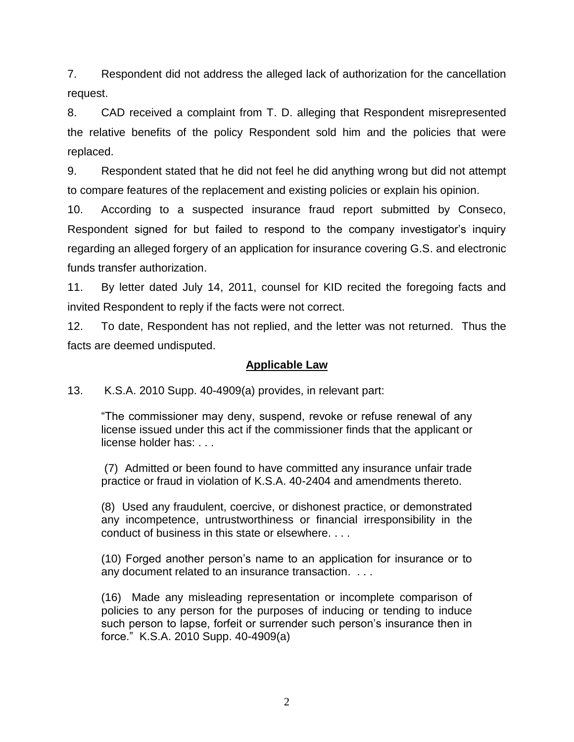7. Respondent did not address the alleged lack of authorization for the cancellation request.

8. CAD received a complaint from T. D. alleging that Respondent misrepresented the relative benefits of the policy Respondent sold him and the policies that were replaced.

9. Respondent stated that he did not feel he did anything wrong but did not attempt to compare features of the replacement and existing policies or explain his opinion.

10. According to a suspected insurance fraud report submitted by Conseco, Respondent signed for but failed to respond to the company investigator's inquiry regarding an alleged forgery of an application for insurance covering G.S. and electronic funds transfer authorization.

11. By letter dated July 14, 2011, counsel for KID recited the foregoing facts and invited Respondent to reply if the facts were not correct.

12. To date, Respondent has not replied, and the letter was not returned. Thus the facts are deemed undisputed.

### **Applicable Law**

13. K.S.A. 2010 Supp. 40-4909(a) provides, in relevant part:

"The commissioner may deny, suspend, revoke or refuse renewal of any license issued under this act if the commissioner finds that the applicant or license holder has: . . .

(7) Admitted or been found to have committed any insurance unfair trade practice or fraud in violation of K.S.A. 40-2404 and amendments thereto.

(8) Used any fraudulent, coercive, or dishonest practice, or demonstrated any incompetence, untrustworthiness or financial irresponsibility in the conduct of business in this state or elsewhere. . . .

(10) Forged another person's name to an application for insurance or to any document related to an insurance transaction. . . .

(16) Made any misleading representation or incomplete comparison of policies to any person for the purposes of inducing or tending to induce such person to lapse, forfeit or surrender such person's insurance then in force." K.S.A. 2010 Supp. 40-4909(a)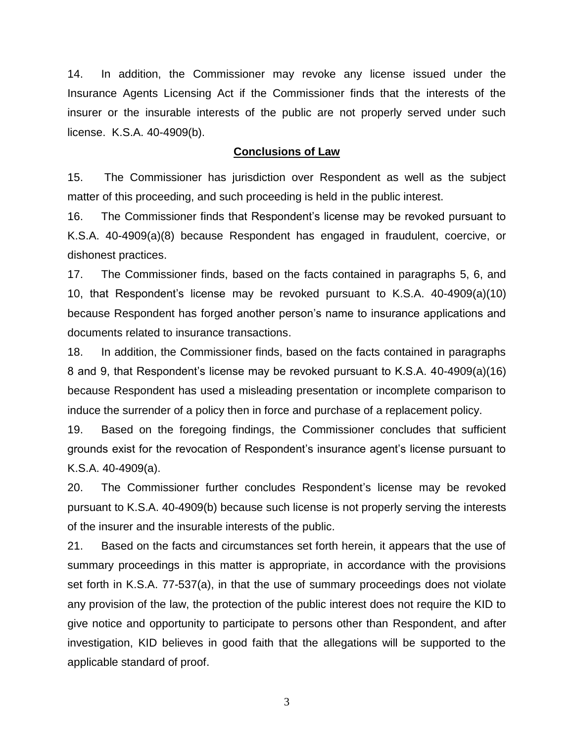14. In addition, the Commissioner may revoke any license issued under the Insurance Agents Licensing Act if the Commissioner finds that the interests of the insurer or the insurable interests of the public are not properly served under such license. K.S.A. 40-4909(b).

#### **Conclusions of Law**

15. The Commissioner has jurisdiction over Respondent as well as the subject matter of this proceeding, and such proceeding is held in the public interest.

16. The Commissioner finds that Respondent's license may be revoked pursuant to K.S.A. 40-4909(a)(8) because Respondent has engaged in fraudulent, coercive, or dishonest practices.

17. The Commissioner finds, based on the facts contained in paragraphs 5, 6, and 10, that Respondent's license may be revoked pursuant to K.S.A. 40-4909(a)(10) because Respondent has forged another person's name to insurance applications and documents related to insurance transactions.

18. In addition, the Commissioner finds, based on the facts contained in paragraphs 8 and 9, that Respondent's license may be revoked pursuant to K.S.A. 40-4909(a)(16) because Respondent has used a misleading presentation or incomplete comparison to induce the surrender of a policy then in force and purchase of a replacement policy.

19. Based on the foregoing findings, the Commissioner concludes that sufficient grounds exist for the revocation of Respondent's insurance agent's license pursuant to K.S.A. 40-4909(a).

20. The Commissioner further concludes Respondent's license may be revoked pursuant to K.S.A. 40-4909(b) because such license is not properly serving the interests of the insurer and the insurable interests of the public.

21. Based on the facts and circumstances set forth herein, it appears that the use of summary proceedings in this matter is appropriate, in accordance with the provisions set forth in K.S.A. 77-537(a), in that the use of summary proceedings does not violate any provision of the law, the protection of the public interest does not require the KID to give notice and opportunity to participate to persons other than Respondent, and after investigation, KID believes in good faith that the allegations will be supported to the applicable standard of proof.

3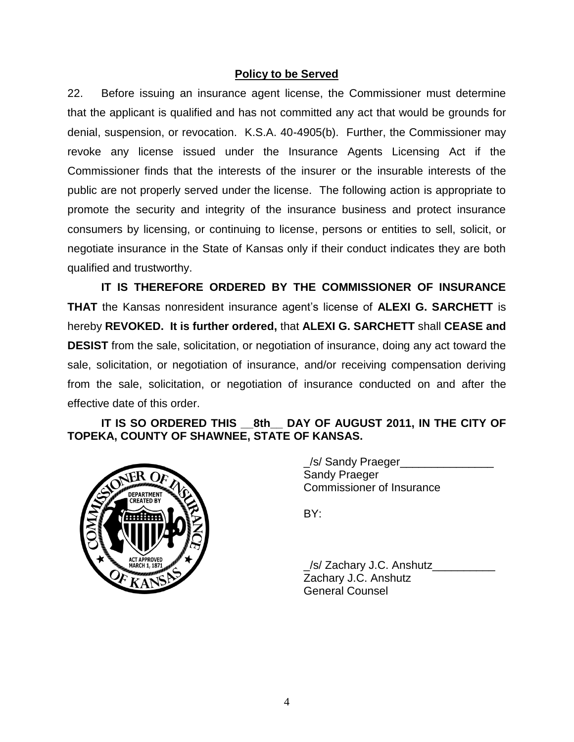### **Policy to be Served**

22. Before issuing an insurance agent license, the Commissioner must determine that the applicant is qualified and has not committed any act that would be grounds for denial, suspension, or revocation. K.S.A. 40-4905(b). Further, the Commissioner may revoke any license issued under the Insurance Agents Licensing Act if the Commissioner finds that the interests of the insurer or the insurable interests of the public are not properly served under the license. The following action is appropriate to promote the security and integrity of the insurance business and protect insurance consumers by licensing, or continuing to license, persons or entities to sell, solicit, or negotiate insurance in the State of Kansas only if their conduct indicates they are both qualified and trustworthy.

**IT IS THEREFORE ORDERED BY THE COMMISSIONER OF INSURANCE THAT** the Kansas nonresident insurance agent's license of **ALEXI G. SARCHETT** is hereby **REVOKED. It is further ordered,** that **ALEXI G. SARCHETT** shall **CEASE and DESIST** from the sale, solicitation, or negotiation of insurance, doing any act toward the sale, solicitation, or negotiation of insurance, and/or receiving compensation deriving from the sale, solicitation, or negotiation of insurance conducted on and after the effective date of this order.

### **IT IS SO ORDERED THIS \_\_8th\_\_ DAY OF AUGUST 2011, IN THE CITY OF TOPEKA, COUNTY OF SHAWNEE, STATE OF KANSAS.**



/s/ Sandy Praeger Sandy Praeger Commissioner of Insurance

BY:

/s/ Zachary J.C. Anshutz Zachary J.C. Anshutz General Counsel